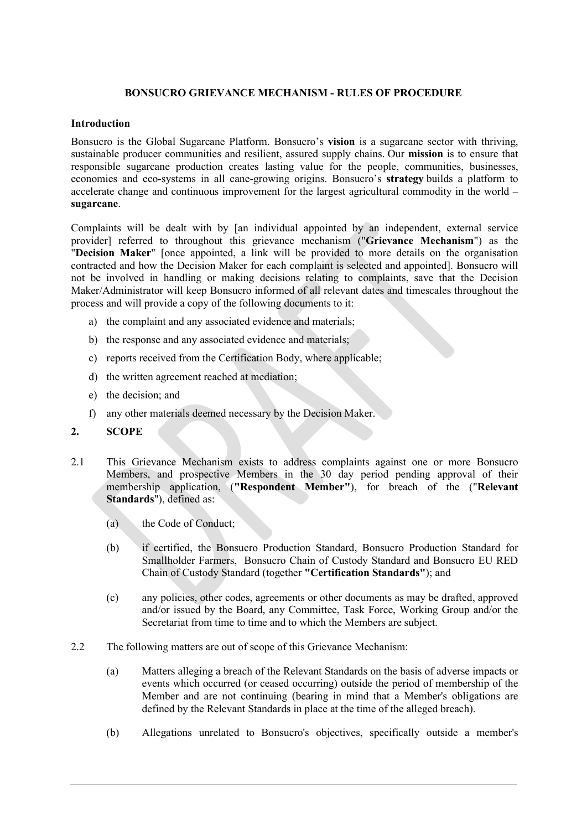## BONSUCRO GRIEVANCE MECHANISM - RULES OF PROCEDURE

### Introduction

Bonsucro is the Global Sugarcane Platform. Bonsucro's vision is a sugarcane sector with thriving, sustainable producer communities and resilient, assured supply chains. Our mission is to ensure that responsible sugarcane production creates lasting value for the people, communities, businesses, economies and eco-systems in all cane-growing origins. Bonsucro's strategy builds a platform to accelerate change and continuous improvement for the largest agricultural commodity in the world – sugarcane.

Complaints will be dealt with by [an individual appointed by an independent, external service provider] referred to throughout this grievance mechanism ("Grievance Mechanism") as the "Decision Maker" [once appointed, a link will be provided to more details on the organisation contracted and how the Decision Maker for each complaint is selected and appointed]. Bonsucro will not be involved in handling or making decisions relating to complaints, save that the Decision Maker/Administrator will keep Bonsucro informed of all relevant dates and timescales throughout the process and will provide a copy of the following documents to it:

- a) the complaint and any associated evidence and materials;
- b) the response and any associated evidence and materials;
- c) reports received from the Certification Body, where applicable;
- d) the written agreement reached at mediation;
- e) the decision; and
- f) any other materials deemed necessary by the Decision Maker.
- 2. SCOPE
- 2.1 This Grievance Mechanism exists to address complaints against one or more Bonsucro Members, and prospective Members in the 30 day period pending approval of their membership application, ("Respondent Member"), for breach of the ("Relevant Standards"), defined as:
	- (a) the Code of Conduct;
	- (b) if certified, the Bonsucro Production Standard, Bonsucro Production Standard for Smallholder Farmers, Bonsucro Chain of Custody Standard and Bonsucro EU RED Chain of Custody Standard (together "Certification Standards"); and
	- (c) any policies, other codes, agreements or other documents as may be drafted, approved and/or issued by the Board, any Committee, Task Force, Working Group and/or the Secretariat from time to time and to which the Members are subject.
- 2.2 The following matters are out of scope of this Grievance Mechanism:
	- (a) Matters alleging a breach of the Relevant Standards on the basis of adverse impacts or events which occurred (or ceased occurring) outside the period of membership of the Member and are not continuing (bearing in mind that a Member's obligations are defined by the Relevant Standards in place at the time of the alleged breach).
	- (b) Allegations unrelated to Bonsucro's objectives, specifically outside a member's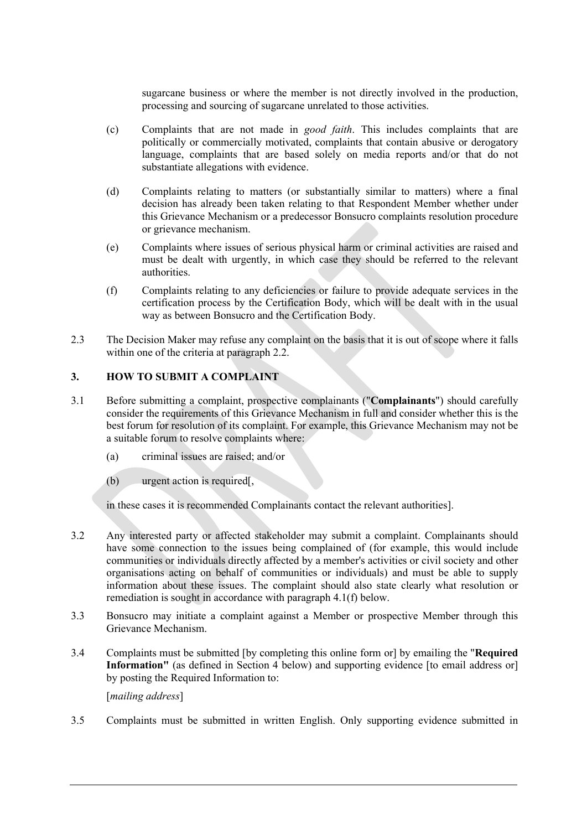sugarcane business or where the member is not directly involved in the production, processing and sourcing of sugarcane unrelated to those activities.

- (c) Complaints that are not made in good faith. This includes complaints that are politically or commercially motivated, complaints that contain abusive or derogatory language, complaints that are based solely on media reports and/or that do not substantiate allegations with evidence.
- (d) Complaints relating to matters (or substantially similar to matters) where a final decision has already been taken relating to that Respondent Member whether under this Grievance Mechanism or a predecessor Bonsucro complaints resolution procedure or grievance mechanism.
- (e) Complaints where issues of serious physical harm or criminal activities are raised and must be dealt with urgently, in which case they should be referred to the relevant authorities.
- (f) Complaints relating to any deficiencies or failure to provide adequate services in the certification process by the Certification Body, which will be dealt with in the usual way as between Bonsucro and the Certification Body.
- 2.3 The Decision Maker may refuse any complaint on the basis that it is out of scope where it falls within one of the criteria at paragraph 2.2.

## 3. HOW TO SUBMIT A COMPLAINT

- 3.1 Before submitting a complaint, prospective complainants ("Complainants") should carefully consider the requirements of this Grievance Mechanism in full and consider whether this is the best forum for resolution of its complaint. For example, this Grievance Mechanism may not be a suitable forum to resolve complaints where:
	- (a) criminal issues are raised; and/or
	- (b) urgent action is required[,

in these cases it is recommended Complainants contact the relevant authorities].

- 3.2 Any interested party or affected stakeholder may submit a complaint. Complainants should have some connection to the issues being complained of (for example, this would include communities or individuals directly affected by a member's activities or civil society and other organisations acting on behalf of communities or individuals) and must be able to supply information about these issues. The complaint should also state clearly what resolution or remediation is sought in accordance with paragraph 4.1(f) below.
- 3.3 Bonsucro may initiate a complaint against a Member or prospective Member through this Grievance Mechanism.
- 3.4 Complaints must be submitted [by completing this online form or] by emailing the "Required Information" (as defined in Section 4 below) and supporting evidence [to email address or] by posting the Required Information to:

[mailing address]

3.5 Complaints must be submitted in written English. Only supporting evidence submitted in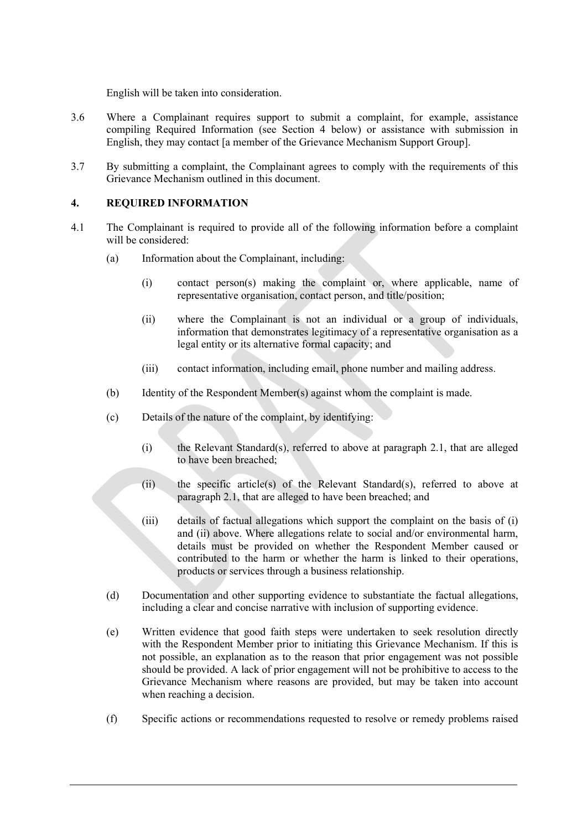English will be taken into consideration.

- 3.6 Where a Complainant requires support to submit a complaint, for example, assistance compiling Required Information (see Section 4 below) or assistance with submission in English, they may contact [a member of the Grievance Mechanism Support Group].
- 3.7 By submitting a complaint, the Complainant agrees to comply with the requirements of this Grievance Mechanism outlined in this document.

### 4. REQUIRED INFORMATION

- 4.1 The Complainant is required to provide all of the following information before a complaint will be considered:
	- (a) Information about the Complainant, including:
		- (i) contact person(s) making the complaint or, where applicable, name of representative organisation, contact person, and title/position;
		- (ii) where the Complainant is not an individual or a group of individuals, information that demonstrates legitimacy of a representative organisation as a legal entity or its alternative formal capacity; and
		- (iii) contact information, including email, phone number and mailing address.
	- (b) Identity of the Respondent Member(s) against whom the complaint is made.
	- (c) Details of the nature of the complaint, by identifying:
		- (i) the Relevant Standard(s), referred to above at paragraph 2.1, that are alleged to have been breached;
		- (ii) the specific article(s) of the Relevant Standard(s), referred to above at paragraph 2.1, that are alleged to have been breached; and
		- (iii) details of factual allegations which support the complaint on the basis of (i) and (ii) above. Where allegations relate to social and/or environmental harm, details must be provided on whether the Respondent Member caused or contributed to the harm or whether the harm is linked to their operations, products or services through a business relationship.
	- (d) Documentation and other supporting evidence to substantiate the factual allegations, including a clear and concise narrative with inclusion of supporting evidence.
	- (e) Written evidence that good faith steps were undertaken to seek resolution directly with the Respondent Member prior to initiating this Grievance Mechanism. If this is not possible, an explanation as to the reason that prior engagement was not possible should be provided. A lack of prior engagement will not be prohibitive to access to the Grievance Mechanism where reasons are provided, but may be taken into account when reaching a decision.
	- (f) Specific actions or recommendations requested to resolve or remedy problems raised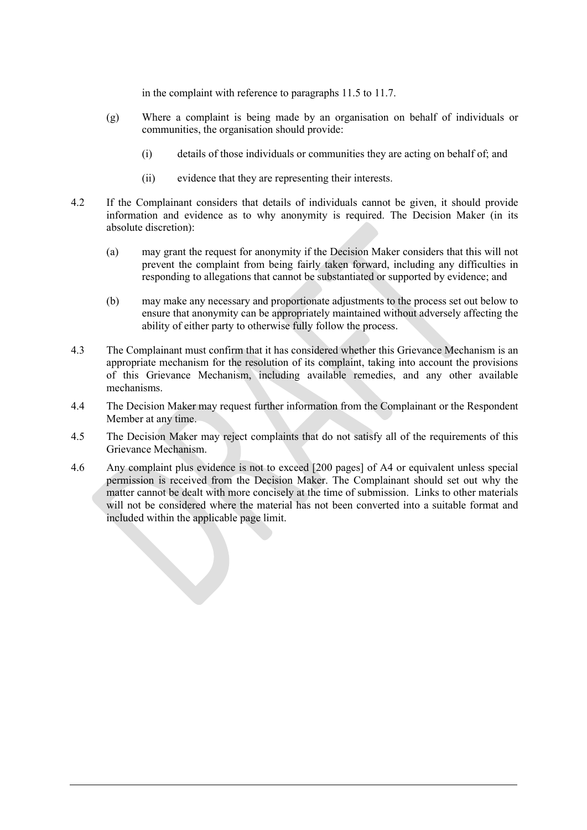in the complaint with reference to paragraphs 11.5 to 11.7.

- (g) Where a complaint is being made by an organisation on behalf of individuals or communities, the organisation should provide:
	- (i) details of those individuals or communities they are acting on behalf of; and
	- (ii) evidence that they are representing their interests.
- 4.2 If the Complainant considers that details of individuals cannot be given, it should provide information and evidence as to why anonymity is required. The Decision Maker (in its absolute discretion):
	- (a) may grant the request for anonymity if the Decision Maker considers that this will not prevent the complaint from being fairly taken forward, including any difficulties in responding to allegations that cannot be substantiated or supported by evidence; and
	- (b) may make any necessary and proportionate adjustments to the process set out below to ensure that anonymity can be appropriately maintained without adversely affecting the ability of either party to otherwise fully follow the process.
- 4.3 The Complainant must confirm that it has considered whether this Grievance Mechanism is an appropriate mechanism for the resolution of its complaint, taking into account the provisions of this Grievance Mechanism, including available remedies, and any other available mechanisms.
- 4.4 The Decision Maker may request further information from the Complainant or the Respondent Member at any time.
- 4.5 The Decision Maker may reject complaints that do not satisfy all of the requirements of this Grievance Mechanism.
- 4.6 Any complaint plus evidence is not to exceed [200 pages] of A4 or equivalent unless special permission is received from the Decision Maker. The Complainant should set out why the matter cannot be dealt with more concisely at the time of submission. Links to other materials will not be considered where the material has not been converted into a suitable format and included within the applicable page limit.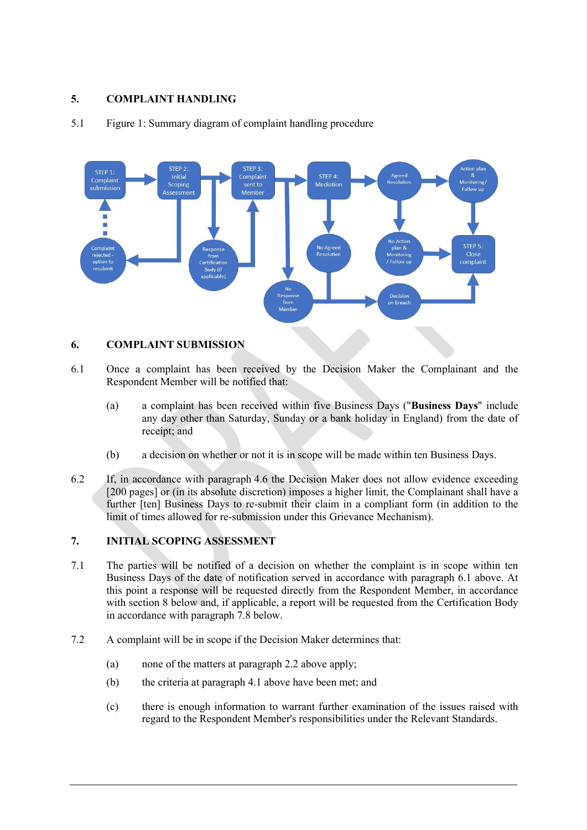# 5. COMPLAINT HANDLING

#### STEP<sub>2</sub> STEP<sub>1</sub> Initial Complaint Complaint Scoping Mediation submission Member Assessmen STEP 5: Close ejected Follow III complaint Body (if from<br>Member on Breach

### 5.1 Figure 1: Summary diagram of complaint handling procedure

## 6. COMPLAINT SUBMISSION

- 6.1 Once a complaint has been received by the Decision Maker the Complainant and the Respondent Member will be notified that:
	- (a) a complaint has been received within five Business Days ("Business Days" include any day other than Saturday, Sunday or a bank holiday in England) from the date of receipt; and
	- (b) a decision on whether or not it is in scope will be made within ten Business Days.
- 6.2 If, in accordance with paragraph 4.6 the Decision Maker does not allow evidence exceeding [200 pages] or (in its absolute discretion) imposes a higher limit, the Complainant shall have a further [ten] Business Days to re-submit their claim in a compliant form (in addition to the limit of times allowed for re-submission under this Grievance Mechanism).

## 7. INITIAL SCOPING ASSESSMENT

- 7.1 The parties will be notified of a decision on whether the complaint is in scope within ten Business Days of the date of notification served in accordance with paragraph 6.1 above. At this point a response will be requested directly from the Respondent Member, in accordance with section 8 below and, if applicable, a report will be requested from the Certification Body in accordance with paragraph 7.8 below.
- 7.2 A complaint will be in scope if the Decision Maker determines that:
	- (a) none of the matters at paragraph 2.2 above apply;
	- (b) the criteria at paragraph 4.1 above have been met; and
	- (c) there is enough information to warrant further examination of the issues raised with regard to the Respondent Member's responsibilities under the Relevant Standards.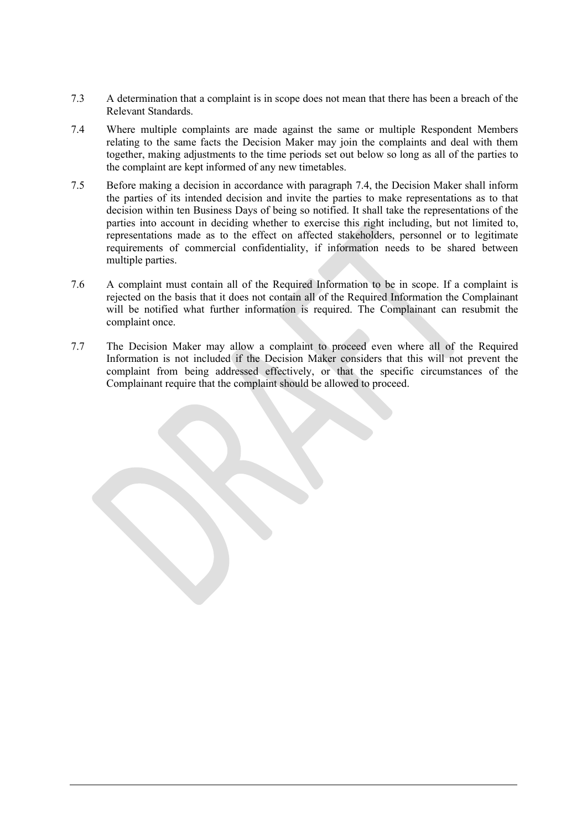- 7.3 A determination that a complaint is in scope does not mean that there has been a breach of the Relevant Standards.
- 7.4 Where multiple complaints are made against the same or multiple Respondent Members relating to the same facts the Decision Maker may join the complaints and deal with them together, making adjustments to the time periods set out below so long as all of the parties to the complaint are kept informed of any new timetables.
- 7.5 Before making a decision in accordance with paragraph 7.4, the Decision Maker shall inform the parties of its intended decision and invite the parties to make representations as to that decision within ten Business Days of being so notified. It shall take the representations of the parties into account in deciding whether to exercise this right including, but not limited to, representations made as to the effect on affected stakeholders, personnel or to legitimate requirements of commercial confidentiality, if information needs to be shared between multiple parties.
- 7.6 A complaint must contain all of the Required Information to be in scope. If a complaint is rejected on the basis that it does not contain all of the Required Information the Complainant will be notified what further information is required. The Complainant can resubmit the complaint once.
- 7.7 The Decision Maker may allow a complaint to proceed even where all of the Required Information is not included if the Decision Maker considers that this will not prevent the complaint from being addressed effectively, or that the specific circumstances of the Complainant require that the complaint should be allowed to proceed.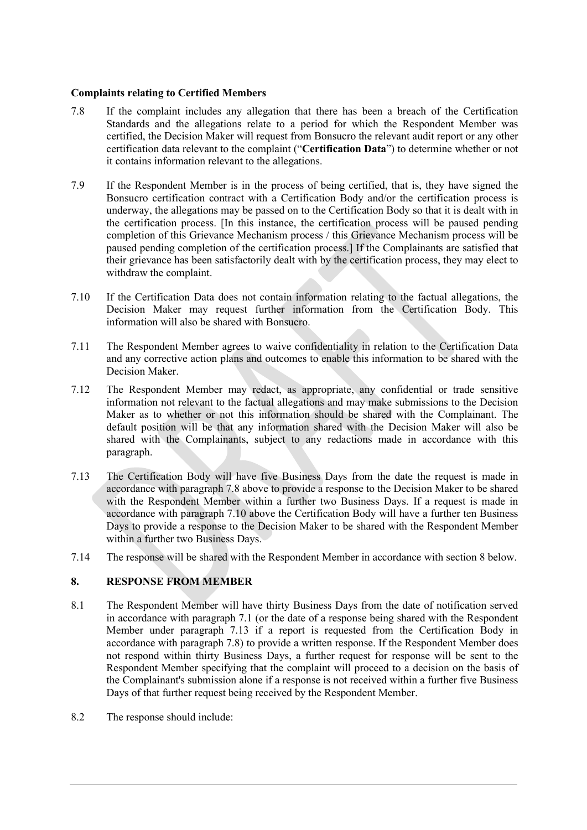## Complaints relating to Certified Members

- 7.8 If the complaint includes any allegation that there has been a breach of the Certification Standards and the allegations relate to a period for which the Respondent Member was certified, the Decision Maker will request from Bonsucro the relevant audit report or any other certification data relevant to the complaint ("Certification Data") to determine whether or not it contains information relevant to the allegations.
- 7.9 If the Respondent Member is in the process of being certified, that is, they have signed the Bonsucro certification contract with a Certification Body and/or the certification process is underway, the allegations may be passed on to the Certification Body so that it is dealt with in the certification process. [In this instance, the certification process will be paused pending completion of this Grievance Mechanism process / this Grievance Mechanism process will be paused pending completion of the certification process.] If the Complainants are satisfied that their grievance has been satisfactorily dealt with by the certification process, they may elect to withdraw the complaint.
- 7.10 If the Certification Data does not contain information relating to the factual allegations, the Decision Maker may request further information from the Certification Body. This information will also be shared with Bonsucro.
- 7.11 The Respondent Member agrees to waive confidentiality in relation to the Certification Data and any corrective action plans and outcomes to enable this information to be shared with the Decision Maker.
- 7.12 The Respondent Member may redact, as appropriate, any confidential or trade sensitive information not relevant to the factual allegations and may make submissions to the Decision Maker as to whether or not this information should be shared with the Complainant. The default position will be that any information shared with the Decision Maker will also be shared with the Complainants, subject to any redactions made in accordance with this paragraph.
- 7.13 The Certification Body will have five Business Days from the date the request is made in accordance with paragraph 7.8 above to provide a response to the Decision Maker to be shared with the Respondent Member within a further two Business Days. If a request is made in accordance with paragraph 7.10 above the Certification Body will have a further ten Business Days to provide a response to the Decision Maker to be shared with the Respondent Member within a further two Business Days.
- 7.14 The response will be shared with the Respondent Member in accordance with section 8 below.

## 8. RESPONSE FROM MEMBER

- 8.1 The Respondent Member will have thirty Business Days from the date of notification served in accordance with paragraph 7.1 (or the date of a response being shared with the Respondent Member under paragraph 7.13 if a report is requested from the Certification Body in accordance with paragraph 7.8) to provide a written response. If the Respondent Member does not respond within thirty Business Days, a further request for response will be sent to the Respondent Member specifying that the complaint will proceed to a decision on the basis of the Complainant's submission alone if a response is not received within a further five Business Days of that further request being received by the Respondent Member.
- 8.2 The response should include: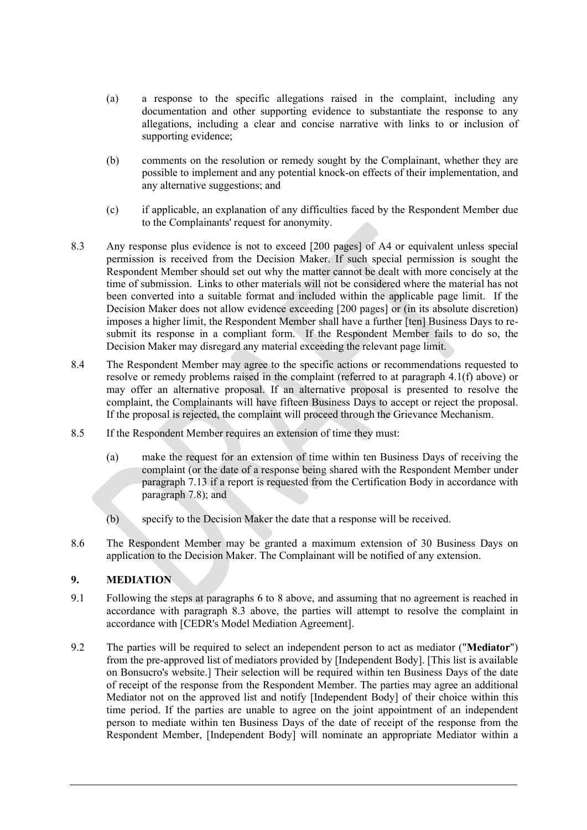- (a) a response to the specific allegations raised in the complaint, including any documentation and other supporting evidence to substantiate the response to any allegations, including a clear and concise narrative with links to or inclusion of supporting evidence;
- (b) comments on the resolution or remedy sought by the Complainant, whether they are possible to implement and any potential knock-on effects of their implementation, and any alternative suggestions; and
- (c) if applicable, an explanation of any difficulties faced by the Respondent Member due to the Complainants' request for anonymity.
- 8.3 Any response plus evidence is not to exceed [200 pages] of A4 or equivalent unless special permission is received from the Decision Maker. If such special permission is sought the Respondent Member should set out why the matter cannot be dealt with more concisely at the time of submission. Links to other materials will not be considered where the material has not been converted into a suitable format and included within the applicable page limit. If the Decision Maker does not allow evidence exceeding [200 pages] or (in its absolute discretion) imposes a higher limit, the Respondent Member shall have a further [ten] Business Days to resubmit its response in a compliant form. If the Respondent Member fails to do so, the Decision Maker may disregard any material exceeding the relevant page limit.
- 8.4 The Respondent Member may agree to the specific actions or recommendations requested to resolve or remedy problems raised in the complaint (referred to at paragraph 4.1(f) above) or may offer an alternative proposal. If an alternative proposal is presented to resolve the complaint, the Complainants will have fifteen Business Days to accept or reject the proposal. If the proposal is rejected, the complaint will proceed through the Grievance Mechanism.
- 8.5 If the Respondent Member requires an extension of time they must:
	- (a) make the request for an extension of time within ten Business Days of receiving the complaint (or the date of a response being shared with the Respondent Member under paragraph 7.13 if a report is requested from the Certification Body in accordance with paragraph 7.8); and
	- (b) specify to the Decision Maker the date that a response will be received.
- 8.6 The Respondent Member may be granted a maximum extension of 30 Business Days on application to the Decision Maker. The Complainant will be notified of any extension.

## 9. MEDIATION

- 9.1 Following the steps at paragraphs 6 to 8 above, and assuming that no agreement is reached in accordance with paragraph 8.3 above, the parties will attempt to resolve the complaint in accordance with [CEDR's Model Mediation Agreement].
- 9.2 The parties will be required to select an independent person to act as mediator ("Mediator") from the pre-approved list of mediators provided by [Independent Body]. [This list is available on Bonsucro's website.] Their selection will be required within ten Business Days of the date of receipt of the response from the Respondent Member. The parties may agree an additional Mediator not on the approved list and notify [Independent Body] of their choice within this time period. If the parties are unable to agree on the joint appointment of an independent person to mediate within ten Business Days of the date of receipt of the response from the Respondent Member, [Independent Body] will nominate an appropriate Mediator within a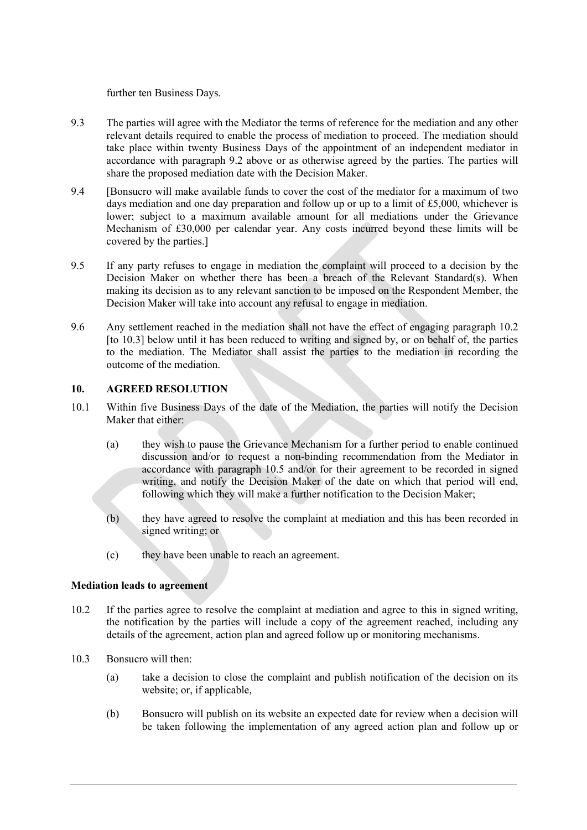further ten Business Days.

- 9.3 The parties will agree with the Mediator the terms of reference for the mediation and any other relevant details required to enable the process of mediation to proceed. The mediation should take place within twenty Business Days of the appointment of an independent mediator in accordance with paragraph 9.2 above or as otherwise agreed by the parties. The parties will share the proposed mediation date with the Decision Maker.
- 9.4 [Bonsucro will make available funds to cover the cost of the mediator for a maximum of two days mediation and one day preparation and follow up or up to a limit of £5,000, whichever is lower; subject to a maximum available amount for all mediations under the Grievance Mechanism of £30,000 per calendar year. Any costs incurred beyond these limits will be covered by the parties.]
- 9.5 If any party refuses to engage in mediation the complaint will proceed to a decision by the Decision Maker on whether there has been a breach of the Relevant Standard(s). When making its decision as to any relevant sanction to be imposed on the Respondent Member, the Decision Maker will take into account any refusal to engage in mediation.
- 9.6 Any settlement reached in the mediation shall not have the effect of engaging paragraph 10.2 [to 10.3] below until it has been reduced to writing and signed by, or on behalf of, the parties to the mediation. The Mediator shall assist the parties to the mediation in recording the outcome of the mediation.

### 10. AGREED RESOLUTION

- 10.1 Within five Business Days of the date of the Mediation, the parties will notify the Decision Maker that either:
	- (a) they wish to pause the Grievance Mechanism for a further period to enable continued discussion and/or to request a non-binding recommendation from the Mediator in accordance with paragraph 10.5 and/or for their agreement to be recorded in signed writing, and notify the Decision Maker of the date on which that period will end, following which they will make a further notification to the Decision Maker;
	- (b) they have agreed to resolve the complaint at mediation and this has been recorded in signed writing; or
	- (c) they have been unable to reach an agreement.

### Mediation leads to agreement

- 10.2 If the parties agree to resolve the complaint at mediation and agree to this in signed writing, the notification by the parties will include a copy of the agreement reached, including any details of the agreement, action plan and agreed follow up or monitoring mechanisms.
- 10.3 Bonsucro will then:
	- (a) take a decision to close the complaint and publish notification of the decision on its website; or, if applicable,
	- (b) Bonsucro will publish on its website an expected date for review when a decision will be taken following the implementation of any agreed action plan and follow up or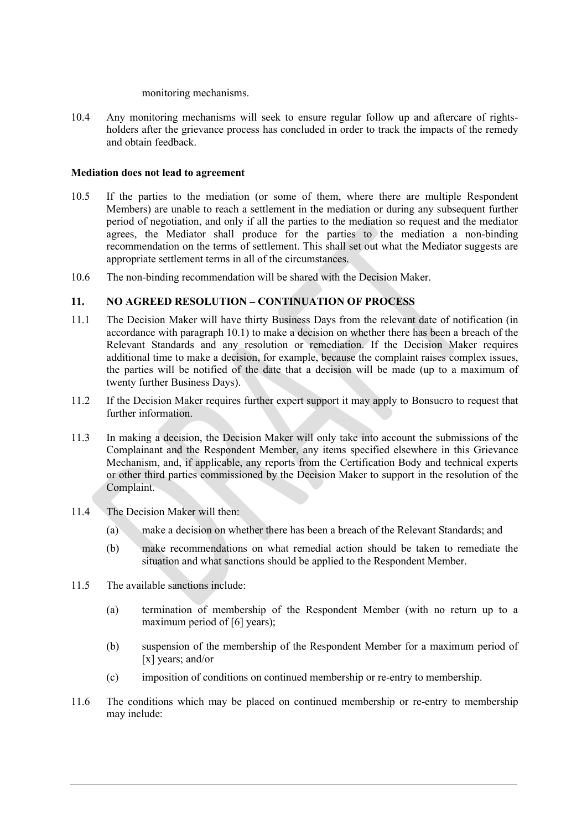#### monitoring mechanisms.

10.4 Any monitoring mechanisms will seek to ensure regular follow up and aftercare of rightsholders after the grievance process has concluded in order to track the impacts of the remedy and obtain feedback.

### Mediation does not lead to agreement

- 10.5 If the parties to the mediation (or some of them, where there are multiple Respondent Members) are unable to reach a settlement in the mediation or during any subsequent further period of negotiation, and only if all the parties to the mediation so request and the mediator agrees, the Mediator shall produce for the parties to the mediation a non-binding recommendation on the terms of settlement. This shall set out what the Mediator suggests are appropriate settlement terms in all of the circumstances.
- 10.6 The non-binding recommendation will be shared with the Decision Maker.

## 11. NO AGREED RESOLUTION – CONTINUATION OF PROCESS

- 11.1 The Decision Maker will have thirty Business Days from the relevant date of notification (in accordance with paragraph 10.1) to make a decision on whether there has been a breach of the Relevant Standards and any resolution or remediation. If the Decision Maker requires additional time to make a decision, for example, because the complaint raises complex issues, the parties will be notified of the date that a decision will be made (up to a maximum of twenty further Business Days).
- 11.2 If the Decision Maker requires further expert support it may apply to Bonsucro to request that further information.
- 11.3 In making a decision, the Decision Maker will only take into account the submissions of the Complainant and the Respondent Member, any items specified elsewhere in this Grievance Mechanism, and, if applicable, any reports from the Certification Body and technical experts or other third parties commissioned by the Decision Maker to support in the resolution of the Complaint.
- 11.4 The Decision Maker will then:
	- (a) make a decision on whether there has been a breach of the Relevant Standards; and
	- (b) make recommendations on what remedial action should be taken to remediate the situation and what sanctions should be applied to the Respondent Member.
- 11.5 The available sanctions include:
	- (a) termination of membership of the Respondent Member (with no return up to a maximum period of [6] years);
	- (b) suspension of the membership of the Respondent Member for a maximum period of [x] years; and/or
	- (c) imposition of conditions on continued membership or re-entry to membership.
- 11.6 The conditions which may be placed on continued membership or re-entry to membership may include: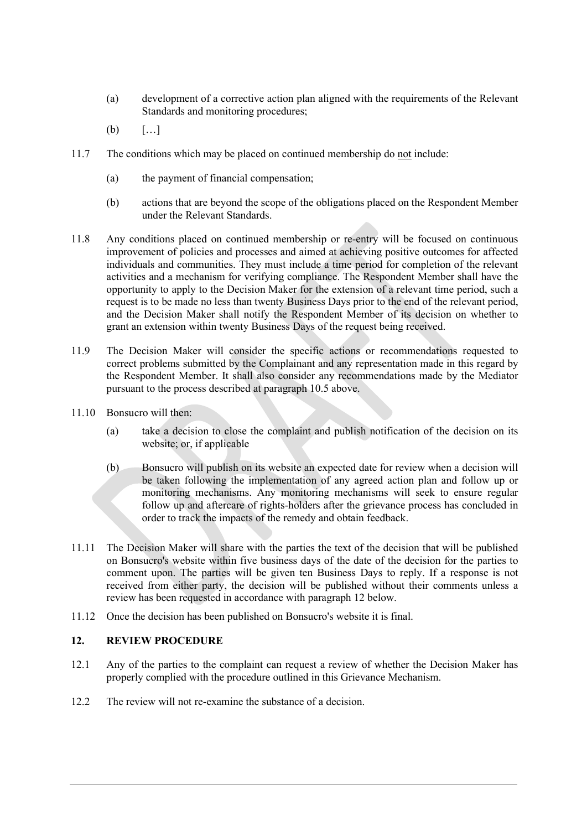- (a) development of a corrective action plan aligned with the requirements of the Relevant Standards and monitoring procedures;
- (b)  $[...]$
- 11.7 The conditions which may be placed on continued membership do not include:
	- (a) the payment of financial compensation;
	- (b) actions that are beyond the scope of the obligations placed on the Respondent Member under the Relevant Standards.
- 11.8 Any conditions placed on continued membership or re-entry will be focused on continuous improvement of policies and processes and aimed at achieving positive outcomes for affected individuals and communities. They must include a time period for completion of the relevant activities and a mechanism for verifying compliance. The Respondent Member shall have the opportunity to apply to the Decision Maker for the extension of a relevant time period, such a request is to be made no less than twenty Business Days prior to the end of the relevant period, and the Decision Maker shall notify the Respondent Member of its decision on whether to grant an extension within twenty Business Days of the request being received.
- 11.9 The Decision Maker will consider the specific actions or recommendations requested to correct problems submitted by the Complainant and any representation made in this regard by the Respondent Member. It shall also consider any recommendations made by the Mediator pursuant to the process described at paragraph 10.5 above.
- 11.10 Bonsucro will then:
	- (a) take a decision to close the complaint and publish notification of the decision on its website; or, if applicable
	- (b) Bonsucro will publish on its website an expected date for review when a decision will be taken following the implementation of any agreed action plan and follow up or monitoring mechanisms. Any monitoring mechanisms will seek to ensure regular follow up and aftercare of rights-holders after the grievance process has concluded in order to track the impacts of the remedy and obtain feedback.
- 11.11 The Decision Maker will share with the parties the text of the decision that will be published on Bonsucro's website within five business days of the date of the decision for the parties to comment upon. The parties will be given ten Business Days to reply. If a response is not received from either party, the decision will be published without their comments unless a review has been requested in accordance with paragraph 12 below.
- 11.12 Once the decision has been published on Bonsucro's website it is final.

### 12. REVIEW PROCEDURE

- 12.1 Any of the parties to the complaint can request a review of whether the Decision Maker has properly complied with the procedure outlined in this Grievance Mechanism.
- 12.2 The review will not re-examine the substance of a decision.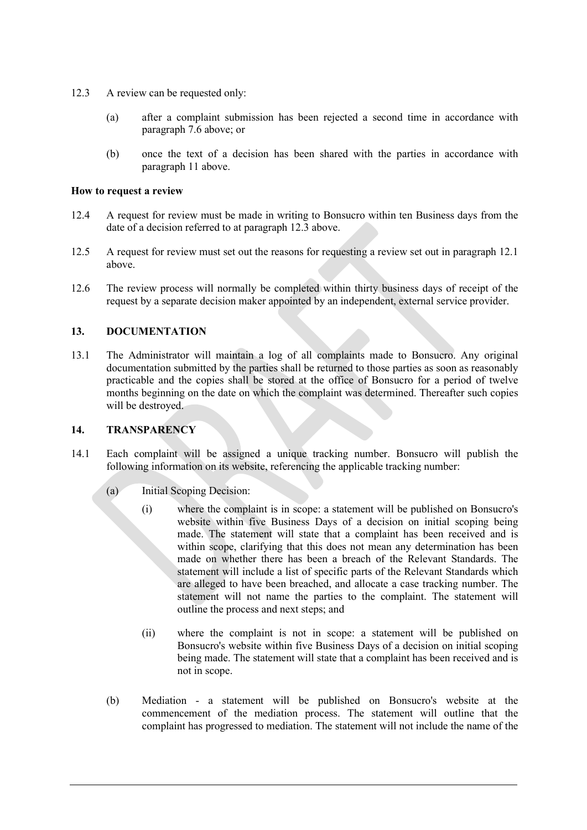- 12.3 A review can be requested only:
	- (a) after a complaint submission has been rejected a second time in accordance with paragraph 7.6 above; or
	- (b) once the text of a decision has been shared with the parties in accordance with paragraph 11 above.

#### How to request a review

- 12.4 A request for review must be made in writing to Bonsucro within ten Business days from the date of a decision referred to at paragraph 12.3 above.
- 12.5 A request for review must set out the reasons for requesting a review set out in paragraph 12.1 above.
- 12.6 The review process will normally be completed within thirty business days of receipt of the request by a separate decision maker appointed by an independent, external service provider.

### 13. DOCUMENTATION

13.1 The Administrator will maintain a log of all complaints made to Bonsucro. Any original documentation submitted by the parties shall be returned to those parties as soon as reasonably practicable and the copies shall be stored at the office of Bonsucro for a period of twelve months beginning on the date on which the complaint was determined. Thereafter such copies will be destroyed.

### 14. TRANSPARENCY

- 14.1 Each complaint will be assigned a unique tracking number. Bonsucro will publish the following information on its website, referencing the applicable tracking number:
	- (a) Initial Scoping Decision:
		- (i) where the complaint is in scope: a statement will be published on Bonsucro's website within five Business Days of a decision on initial scoping being made. The statement will state that a complaint has been received and is within scope, clarifying that this does not mean any determination has been made on whether there has been a breach of the Relevant Standards. The statement will include a list of specific parts of the Relevant Standards which are alleged to have been breached, and allocate a case tracking number. The statement will not name the parties to the complaint. The statement will outline the process and next steps; and
		- (ii) where the complaint is not in scope: a statement will be published on Bonsucro's website within five Business Days of a decision on initial scoping being made. The statement will state that a complaint has been received and is not in scope.
	- (b) Mediation a statement will be published on Bonsucro's website at the commencement of the mediation process. The statement will outline that the complaint has progressed to mediation. The statement will not include the name of the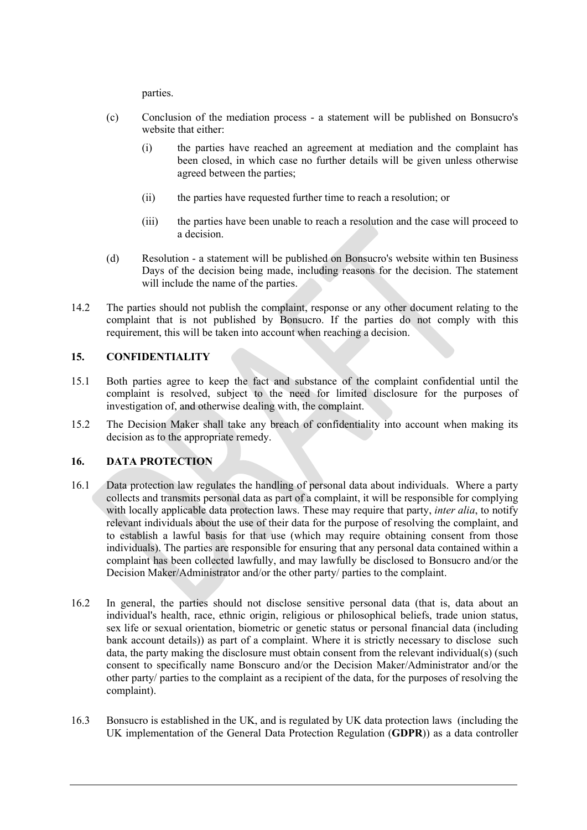parties.

- (c) Conclusion of the mediation process a statement will be published on Bonsucro's website that either:
	- (i) the parties have reached an agreement at mediation and the complaint has been closed, in which case no further details will be given unless otherwise agreed between the parties;
	- (ii) the parties have requested further time to reach a resolution; or
	- (iii) the parties have been unable to reach a resolution and the case will proceed to a decision.
- (d) Resolution a statement will be published on Bonsucro's website within ten Business Days of the decision being made, including reasons for the decision. The statement will include the name of the parties.
- 14.2 The parties should not publish the complaint, response or any other document relating to the complaint that is not published by Bonsucro. If the parties do not comply with this requirement, this will be taken into account when reaching a decision.

## 15. CONFIDENTIALITY

- 15.1 Both parties agree to keep the fact and substance of the complaint confidential until the complaint is resolved, subject to the need for limited disclosure for the purposes of investigation of, and otherwise dealing with, the complaint.
- 15.2 The Decision Maker shall take any breach of confidentiality into account when making its decision as to the appropriate remedy.

## 16. DATA PROTECTION

- 16.1 Data protection law regulates the handling of personal data about individuals. Where a party collects and transmits personal data as part of a complaint, it will be responsible for complying with locally applicable data protection laws. These may require that party, *inter alia*, to notify relevant individuals about the use of their data for the purpose of resolving the complaint, and to establish a lawful basis for that use (which may require obtaining consent from those individuals). The parties are responsible for ensuring that any personal data contained within a complaint has been collected lawfully, and may lawfully be disclosed to Bonsucro and/or the Decision Maker/Administrator and/or the other party/ parties to the complaint.
- 16.2 In general, the parties should not disclose sensitive personal data (that is, data about an individual's health, race, ethnic origin, religious or philosophical beliefs, trade union status, sex life or sexual orientation, biometric or genetic status or personal financial data (including bank account details)) as part of a complaint. Where it is strictly necessary to disclose such data, the party making the disclosure must obtain consent from the relevant individual(s) (such consent to specifically name Bonscuro and/or the Decision Maker/Administrator and/or the other party/ parties to the complaint as a recipient of the data, for the purposes of resolving the complaint).
- 16.3 Bonsucro is established in the UK, and is regulated by UK data protection laws (including the UK implementation of the General Data Protection Regulation (GDPR)) as a data controller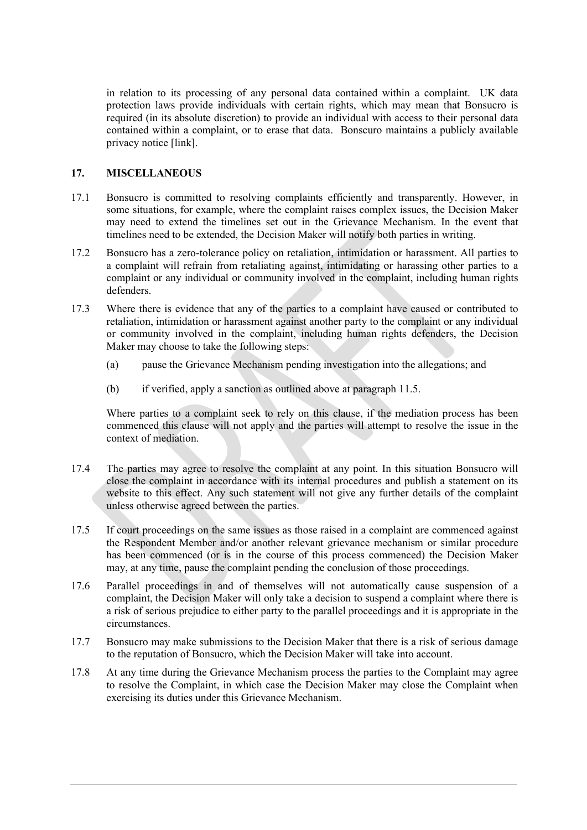in relation to its processing of any personal data contained within a complaint. UK data protection laws provide individuals with certain rights, which may mean that Bonsucro is required (in its absolute discretion) to provide an individual with access to their personal data contained within a complaint, or to erase that data. Bonscuro maintains a publicly available privacy notice [link].

## 17. MISCELLANEOUS

- 17.1 Bonsucro is committed to resolving complaints efficiently and transparently. However, in some situations, for example, where the complaint raises complex issues, the Decision Maker may need to extend the timelines set out in the Grievance Mechanism. In the event that timelines need to be extended, the Decision Maker will notify both parties in writing.
- 17.2 Bonsucro has a zero-tolerance policy on retaliation, intimidation or harassment. All parties to a complaint will refrain from retaliating against, intimidating or harassing other parties to a complaint or any individual or community involved in the complaint, including human rights defenders.
- 17.3 Where there is evidence that any of the parties to a complaint have caused or contributed to retaliation, intimidation or harassment against another party to the complaint or any individual or community involved in the complaint, including human rights defenders, the Decision Maker may choose to take the following steps:
	- (a) pause the Grievance Mechanism pending investigation into the allegations; and
	- (b) if verified, apply a sanction as outlined above at paragraph 11.5.

Where parties to a complaint seek to rely on this clause, if the mediation process has been commenced this clause will not apply and the parties will attempt to resolve the issue in the context of mediation.

- 17.4 The parties may agree to resolve the complaint at any point. In this situation Bonsucro will close the complaint in accordance with its internal procedures and publish a statement on its website to this effect. Any such statement will not give any further details of the complaint unless otherwise agreed between the parties.
- 17.5 If court proceedings on the same issues as those raised in a complaint are commenced against the Respondent Member and/or another relevant grievance mechanism or similar procedure has been commenced (or is in the course of this process commenced) the Decision Maker may, at any time, pause the complaint pending the conclusion of those proceedings.
- 17.6 Parallel proceedings in and of themselves will not automatically cause suspension of a complaint, the Decision Maker will only take a decision to suspend a complaint where there is a risk of serious prejudice to either party to the parallel proceedings and it is appropriate in the circumstances.
- 17.7 Bonsucro may make submissions to the Decision Maker that there is a risk of serious damage to the reputation of Bonsucro, which the Decision Maker will take into account.
- 17.8 At any time during the Grievance Mechanism process the parties to the Complaint may agree to resolve the Complaint, in which case the Decision Maker may close the Complaint when exercising its duties under this Grievance Mechanism.